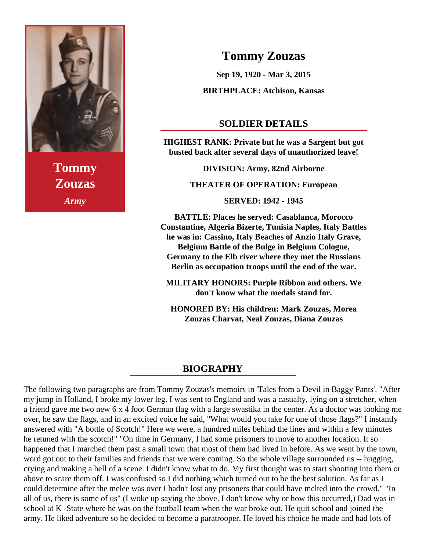

**Tommy Zouzas** *Army*

## **Tommy Zouzas**

**Sep 19, 1920 - Mar 3, 2015**

**BIRTHPLACE: Atchison, Kansas**

## **SOLDIER DETAILS**

**HIGHEST RANK: Private but he was a Sargent but got busted back after several days of unauthorized leave!**

**DIVISION: Army, 82nd Airborne**

**THEATER OF OPERATION: European**

**SERVED: 1942 - 1945**

**BATTLE: Places he served: Casablanca, Morocco Constantine, Algeria Bizerte, Tunisia Naples, Italy Battles he was in: Cassino, Italy Beaches of Anzio Italy Grave, Belgium Battle of the Bulge in Belgium Cologne, Germany to the Elb river where they met the Russians Berlin as occupation troops until the end of the war.**

**MILITARY HONORS: Purple Ribbon and others. We don't know what the medals stand for.**

**HONORED BY: His children: Mark Zouzas, Morea Zouzas Charvat, Neal Zouzas, Diana Zouzas**

## **BIOGRAPHY**

The following two paragraphs are from Tommy Zouzas's memoirs in 'Tales from a Devil in Baggy Pants'. "After my jump in Holland, I broke my lower leg. I was sent to England and was a casualty, lying on a stretcher, when a friend gave me two new 6 x 4 foot German flag with a large swastika in the center. As a doctor was looking me over, he saw the flags, and in an excited voice he said, "What would you take for one of those flags?" I instantly answered with "A bottle of Scotch!" Here we were, a hundred miles behind the lines and within a few minutes he retuned with the scotch!" "On time in Germany, I had some prisoners to move to another location. It so happened that I marched them past a small town that most of them had lived in before. As we went by the town, word got out to their families and friends that we were coming. So the whole village surrounded us -- hugging, crying and making a hell of a scene. I didn't know what to do. My first thought was to start shooting into them or above to scare them off. I was confused so I did nothing which turned out to be the best solution. As far as I could determine after the melee was over I hadn't lost any prisoners that could have melted into the crowd." "In all of us, there is some of us" (I woke up saying the above. I don't know why or how this occurred,) Dad was in school at K -State where he was on the football team when the war broke out. He quit school and joined the army. He liked adventure so he decided to become a paratrooper. He loved his choice he made and had lots of